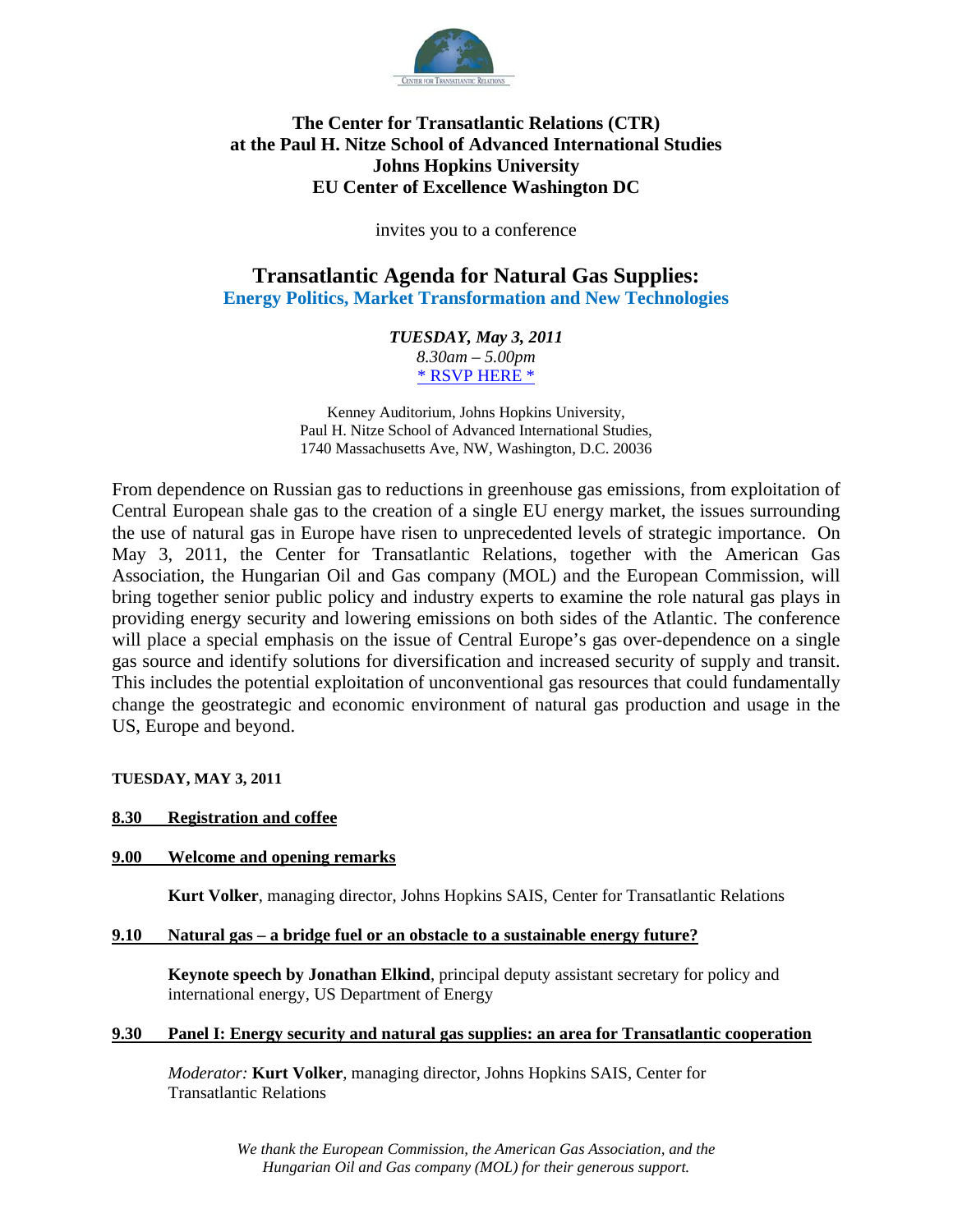

# **The Center for Transatlantic Relations (CTR) at the Paul H. Nitze School of Advanced International Studies Johns Hopkins University EU Center of Excellence Washington DC**

invites you to a conference

# **Transatlantic Agenda for Natural Gas Supplies: Energy Politics, Market Transformation and New Technologies**

*TUESDAY, May 3, 2011 8.30am – 5.00pm*  \* RSVP HERE \*

Kenney Auditorium, Johns Hopkins University, Paul H. Nitze School of Advanced International Studies, 1740 Massachusetts Ave, NW, Washington, D.C. 20036

From dependence on Russian gas to reductions in greenhouse gas emissions, from exploitation of Central European shale gas to the creation of a single EU energy market, the issues surrounding the use of natural gas in Europe have risen to unprecedented levels of strategic importance. On May 3, 2011, the Center for Transatlantic Relations, together with the American Gas Association, the Hungarian Oil and Gas company (MOL) and the European Commission, will bring together senior public policy and industry experts to examine the role natural gas plays in providing energy security and lowering emissions on both sides of the Atlantic. The conference will place a special emphasis on the issue of Central Europe's gas over-dependence on a single gas source and identify solutions for diversification and increased security of supply and transit. This includes the potential exploitation of unconventional gas resources that could fundamentally change the geostrategic and economic environment of natural gas production and usage in the US, Europe and beyond.

**TUESDAY, MAY 3, 2011** 

### **8.30 Registration and coffee**

#### **9.00 Welcome and opening remarks**

**Kurt Volker**, managing director, Johns Hopkins SAIS, Center for Transatlantic Relations

#### **9.10 Natural gas – a bridge fuel or an obstacle to a sustainable energy future?**

**Keynote speech by Jonathan Elkind**, principal deputy assistant secretary for policy and international energy, US Department of Energy

#### **9.30 Panel I: Energy security and natural gas supplies: an area for Transatlantic cooperation**

*Moderator:* **Kurt Volker**, managing director, Johns Hopkins SAIS, Center for Transatlantic Relations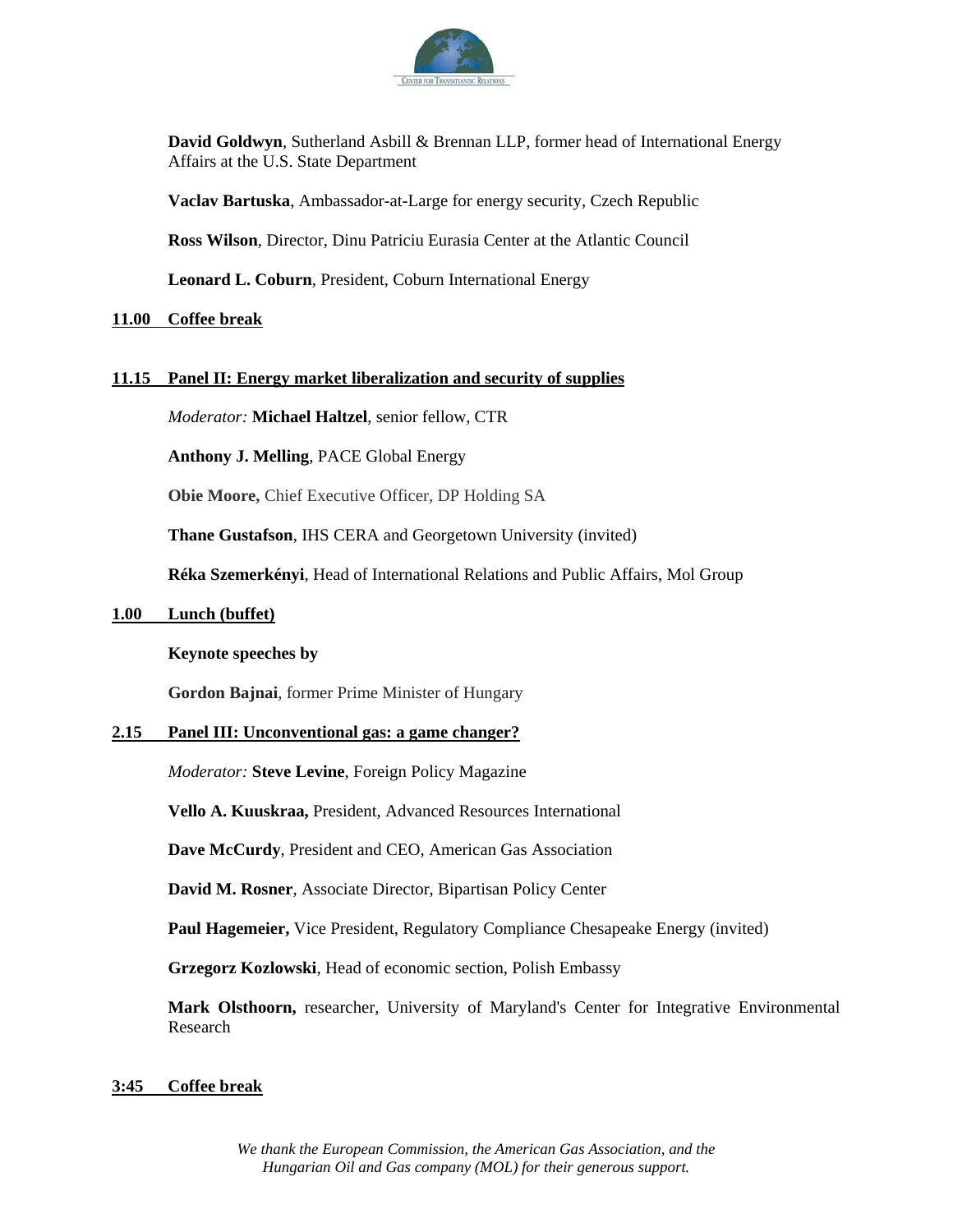

**David Goldwyn**, Sutherland Asbill & Brennan LLP, former head of International Energy Affairs at the U.S. State Department

**Vaclav Bartuska**, Ambassador-at-Large for energy security, Czech Republic

**Ross Wilson***,* Director, Dinu Patriciu Eurasia Center at the Atlantic Council

**Leonard L. Coburn**, President, Coburn International Energy

#### **11.00 Coffee break**

#### **11.15 Panel II: Energy market liberalization and security of supplies**

*Moderator:* **Michael Haltzel**, senior fellow, CTR

**Anthony J. Melling**, PACE Global Energy

**Obie Moore,** Chief Executive Officer, DP Holding SA

**Thane Gustafson**, IHS CERA and Georgetown University (invited)

**Réka Szemerkényi**, Head of International Relations and Public Affairs, Mol Group

#### **1.00 Lunch (buffet)**

#### **Keynote speeches by**

**Gordon Bajnai**, former Prime Minister of Hungary

#### **2.15 Panel III: Unconventional gas: a game changer?**

*Moderator:* **Steve Levine**, Foreign Policy Magazine

**Vello A. Kuuskraa,** President, Advanced Resources International

**Dave McCurdy**, President and CEO, American Gas Association

**David M. Rosner**, Associate Director, Bipartisan Policy Center

**Paul Hagemeier,** Vice President, Regulatory Compliance Chesapeake Energy (invited)

**Grzegorz Kozlowski**, Head of economic section, Polish Embassy

**Mark Olsthoorn,** researcher, University of Maryland's Center for Integrative Environmental Research

#### **3:45 Coffee break**